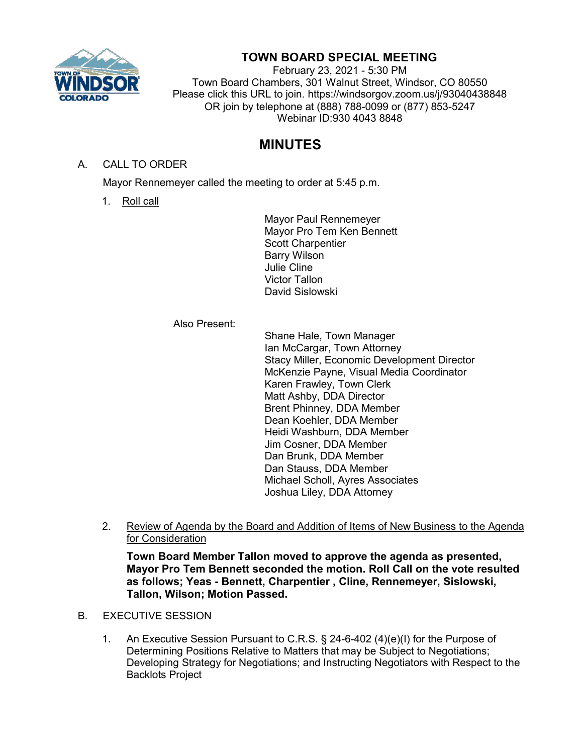

## **TOWN BOARD SPECIAL MEETING**

February 23, 2021 - 5:30 PM Town Board Chambers, 301 Walnut Street, Windsor, CO 80550 Please click this URL to join. https://windsorgov.zoom.us/j/93040438848 OR join by telephone at (888) 788-0099 or (877) 853-5247 Webinar ID:930 4043 8848

## **MINUTES**

A. CALL TO ORDER

Mayor Rennemeyer called the meeting to order at 5:45 p.m.

1. Roll call

Mayor Paul Rennemeyer Mayor Pro Tem Ken Bennett Scott Charpentier Barry Wilson Julie Cline Victor Tallon David Sislowski

## Also Present:

Shane Hale, Town Manager Ian McCargar, Town Attorney Stacy Miller, Economic Development Director McKenzie Payne, Visual Media Coordinator Karen Frawley, Town Clerk Matt Ashby, DDA Director Brent Phinney, DDA Member Dean Koehler, DDA Member Heidi Washburn, DDA Member Jim Cosner, DDA Member Dan Brunk, DDA Member Dan Stauss, DDA Member Michael Scholl, Ayres Associates Joshua Liley, DDA Attorney

2. Review of Agenda by the Board and Addition of Items of New Business to the Agenda for Consideration

**Town Board Member Tallon moved to approve the agenda as presented, Mayor Pro Tem Bennett seconded the motion. Roll Call on the vote resulted as follows; Yeas - Bennett, Charpentier , Cline, Rennemeyer, Sislowski, Tallon, Wilson; Motion Passed.**

- B. EXECUTIVE SESSION
	- 1. An Executive Session Pursuant to C.R.S. § 24-6-402 (4)(e)(I) for the Purpose of Determining Positions Relative to Matters that may be Subject to Negotiations; Developing Strategy for Negotiations; and Instructing Negotiators with Respect to the Backlots Project